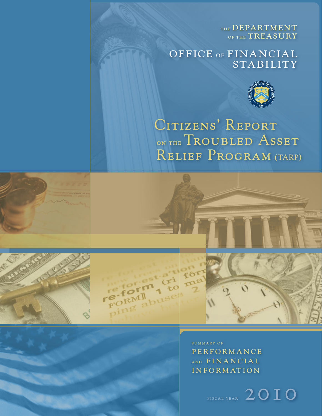THE DEPARTMENT OF THE TREASURY

OFFICE OF FINANCIAL STABILITY



CITIZENS' REPORT ON THE TROUBLED ASSET RELIEF PROGRAM (TARP)





RM

 $\frac{d}{d}b$ 

summary of **PERFORMANCE** and financial information

FISCAL YEAR  $20I0$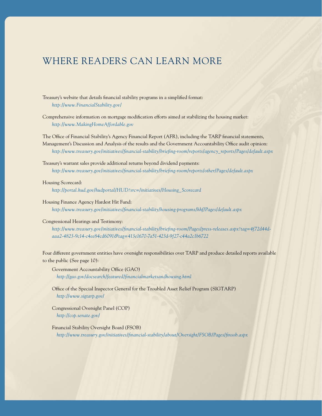## WHERE READERS CAN LEARN MORE

- Treasury's website that details financial stability programs in a simplified format: *[http://www.FinancialStability.gov/](http://www.financialstability.gov/)*
- Comprehensive information on mortgage modification efforts aimed at stabilizing the housing market: *http://www.MakingHomeAffordable.gov*

The Office of Financial Stability's Agency Financial Report (AFR), including the TARP financial statements, Management's Discussion and Analysis of the results and the Government Accountability Office audit opinion: *[http://www.treasury.gov/initiatives/financial-stability/briefing-room/reports/agency\\_reports/Pages/default.aspx](http://www.treasury.gov/initiatives/financial-stability/briefing-room/reports/agency_reports/Pages/default.aspx)*

Treasury's warrant sales provide additional returns beyond dividend payments: *<http://www.treasury.gov/initiatives/financial-stability/briefing-room/reports/other/Pages/default.aspx>*

#### Housing Scorecard:

*[http://portal.hud.gov/hudportal/HUD?src=/initiatives/Housing\\_Scorecard](http://portal.hud.gov/hudportal/HUD?src=/initiatives/Housing_Scorecard)*

#### Housing Finance Agency Hardest Hit Fund:

*<http://www.treasury.gov/initiatives/financial-stability/housing-programs/hhf/Pages/default.aspx>*

#### Congressional Hearings and Testimony:

*[http://www.treasury.gov/initiatives/financial-stability/briefing-room/Pages/press-releases.aspx?tag=4f72d44d](http://www.treasury.gov/initiatives/financial-stability/briefing-room/Pages/press-releases.aspx?tag=4f72d44d-aaa2-4823-9c14-c4ee84cd6091&tag=413e1670-7a51-423d-9f27-c44a2c1b6722)[aaa2-4823-9c14-c4ee84cd6091&tag=413e1670-7a51-423d-9f27-c44a2c1b6722](http://www.treasury.gov/initiatives/financial-stability/briefing-room/Pages/press-releases.aspx?tag=4f72d44d-aaa2-4823-9c14-c4ee84cd6091&tag=413e1670-7a51-423d-9f27-c44a2c1b6722)*

Four different government entities have oversight responsibilities over TARP and produce detailed reports available to the public (See page 10):

Government Accountability Office (GAO) *<http://gao.gov/docsearch/featured/financialmarketsandhousing.html>*

Office of the Special Inspector General for the Troubled Asset Relief Program (SIGTARP) *<http://www.sigtarp.gov/>*

Congressional Oversight Panel (COP) *<http://cop.senate.gov/>*

Financial Stability Oversight Board (FSOB) *<http://www.treasury.gov/initiatives/financial-stability/about/Oversight/FSOB/Pages/finsob.aspx>*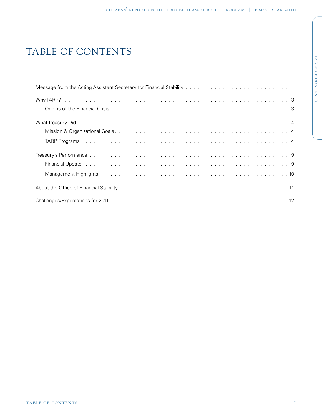# TABLE OF CONTENTS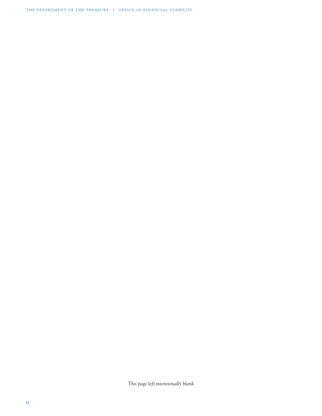the department of the treasury | office of financial stability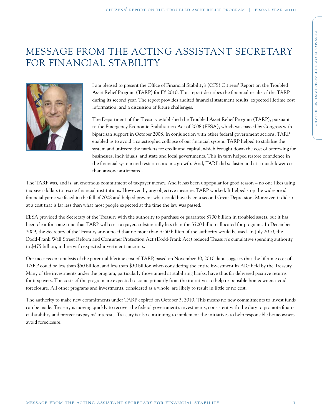# Message from the acting Assistant Secretary for Financial Stability



I am pleased to present the Office of Financial Stability's (OFS) Citizens' Report on the Troubled Asset Relief Program (TARP) for FY 2010. This report describes the financial results of the TARP during its second year. The report provides audited financial statement results, expected lifetime cost information, and a discussion of future challenges.

The Department of the Treasury established the Troubled Asset Relief Program (TARP), pursuant to the Emergency Economic Stabilization Act of 2008 (EESA), which was passed by Congress with bipartisan support in October 2008. In conjunction with other federal government actions, TARP enabled us to avoid a catastrophic collapse of our financial system. TARP helped to stabilize the system and unfreeze the markets for credit and capital, which brought down the cost of borrowing for businesses, individuals, and state and local governments. This in turn helped restore confidence in the financial system and restart economic growth. And, TARP did so faster and at a much lower cost than anyone anticipated.

The TARP was, and is, an enormous commitment of taxpayer money. And it has been unpopular for good reason – no one likes using taxpayer dollars to rescue financial institutions. However, by any objective measure, TARP worked. It helped stop the widespread financial panic we faced in the fall of 2008 and helped prevent what could have been a second Great Depression. Moreover, it did so at a cost that is far less than what most people expected at the time the law was passed.

EESA provided the Secretary of the Treasury with the authority to purchase or guarantee \$700 billion in troubled assets, but it has been clear for some time that TARP will cost taxpayers substantially less than the \$700 billion allocated for programs. In December 2009, the Secretary of the Treasury announced that no more than \$550 billion of the authority would be used. In July 2010, the Dodd-Frank Wall Street Reform and Consumer Protection Act (Dodd-Frank Act) reduced Treasury's cumulative spending authority to \$475 billion, in line with expected investment amounts.

Our most recent analysis of the potential lifetime cost of TARP, based on November 30, 2010 data, suggests that the lifetime cost of TARP could be less than \$50 billion, and less than \$30 billion when considering the entire investment in AIG held by the Treasury. Many of the investments under the program, particularly those aimed at stabilizing banks, have thus far delivered positive returns for taxpayers. The costs of the program are expected to come primarily from the initiatives to help responsible homeowners avoid foreclosure. All other programs and investments, considered as a whole, are likely to result in little or no cost.

The authority to make new commitments under TARP expired on October 3, 2010. This means no new commitments to invest funds can be made. Treasury is moving quickly to recover the federal government's investments, consistent with the duty to promote financial stability and protect taxpayers' interests. Treasury is also continuing to implement the initiatives to help responsible homeowners avoid foreclosure.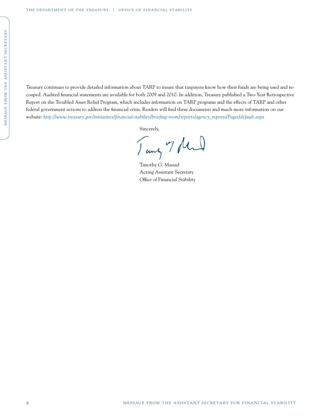Treasury continues to provide detailed information about TARP to insure that taxpayers know how their funds are being used and recouped. Audited financial statements are available for both 2009 and 2010. In addition, Treasury published a Two-Year Retrospective Report on the Troubled Asset Relief Program, which includes information on TARP programs and the effects of TARP and other federal government actions to address the financial crisis. Readers will find these documents and much more information on our website: *http://www.treasury.gov/initiatives/financial-stability/briefing-room/reports/agency\_reports/Pages/default.aspx*

Sincerely,

Tung 7 AL

Timothy G. Massad Acting Assistant Secretary Office of Financial Stability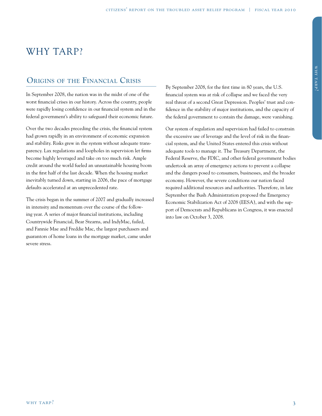## WHY TARP?

### **Origins of the Financial Crisis**

In September 2008, the nation was in the midst of one of the worst financial crises in our history. Across the country, people were rapidly losing confidence in our financial system and in the federal government's ability to safeguard their economic future.

Over the two decades preceding the crisis, the financial system had grown rapidly in an environment of economic expansion and stability. Risks grew in the system without adequate transparency. Lax regulations and loopholes in supervision let firms become highly leveraged and take on too much risk. Ample credit around the world fueled an unsustainable housing boom in the first half of the last decade. When the housing market inevitably turned down, starting in 2006, the pace of mortgage defaults accelerated at an unprecedented rate.

The crisis began in the summer of 2007 and gradually increased in intensity and momentum over the course of the following year. A series of major financial institutions, including Countrywide Financial, Bear Stearns, and IndyMac, failed, and Fannie Mae and Freddie Mac, the largest purchasers and guarantors of home loans in the mortgage market, came under severe stress.

By September 2008, for the first time in 80 years, the U.S. financial system was at risk of collapse and we faced the very real threat of a second Great Depression. Peoples' trust and confidence in the stability of major institutions, and the capacity of the federal government to contain the damage, were vanishing.

Our system of regulation and supervision had failed to constrain the excessive use of leverage and the level of risk in the financial system, and the United States entered this crisis without adequate tools to manage it. The Treasury Department, the Federal Reserve, the FDIC, and other federal government bodies undertook an array of emergency actions to prevent a collapse and the dangers posed to consumers, businesses, and the broader economy. However, the severe conditions our nation faced required additional resources and authorities. Therefore, in late September the Bush Administration proposed the Emergency Economic Stabilization Act of 2008 (EESA), and with the support of Democrats and Republicans in Congress, it was enacted into law on October 3, 2008.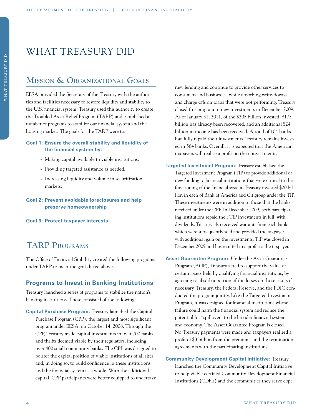## WHAT TREASURY DID

### **Mission & Organizational Goals**

EESA provided the Secretary of the Treasury with the authorities and facilities necessary to restore liquidity and stability to the U.S. financial system. Treasury used this authority to create the Troubled Asset Relief Program (TARP) and established a number of programs to stabilize our financial system and the housing market. The goals for the TARP were to:

#### **Goal 1: Ensure the overall stability and liquidity of the financial system by:**

- Making capital available to viable institutions.
- Providing targeted assistance as needed.
- Increasing liquidity and volume in securitization markets.
- **Goal 2: Prevent avoidable foreclosures and help preserve homeownership**

**Goal 3: Protect taxpayer interests**

### **TARP Programs**

The Office of Financial Stability created the following programs under TARP to meet the goals listed above.

#### **Programs to Invest in Banking Institutions**

Treasury launched a series of programs to stabilize the nation's banking institutions. These consisted of the following:

**Capital Purchase Program:** Treasury launched the Capital Purchase Program (CPP), the largest and most significant program under EESA, on October 14, 2008. Through the CPP, Treasury made capital investments in over 700 banks and thrifts deemed viable by their regulators, including over 400 small community banks. The CPP was designed to bolster the capital position of viable institutions of all sizes and, in doing so, to build confidence in these institutions and the financial system as a whole. With the additional capital, CPP participants were better equipped to undertake new lending and continue to provide other services to consumers and businesses, while absorbing write-downs and charge-offs on loans that were not performing. Treasury closed this program to new investments in December 2009. As of January 31, 2011, of the \$205 billion invested, \$173 billion has already been recovered, and an additional \$24 billion in income has been received. A total of 104 banks had fully repaid their investments. Treasury remains invested in 564 banks. Overall, it is expected that the American taxpayers will realize a profit on these investments.

- **Targeted Investment Program:** Treasury established the Targeted Investment Program (TIP) to provide additional or new funding to financial institutions that were critical to the functioning of the financial system. Treasury invested \$20 billion in each of Bank of America and Citigroup under the TIP. These investments were in addition to those that the banks received under the CPP. In December 2009, both participating institutions repaid their TIP investments in full, with dividends. Treasury also received warrants from each bank, which were subsequently sold and provided the taxpayer with additional gain on the investments. TIP was closed in December 2009 and has resulted in a profit to the taxpayer.
- **Asset Guarantee Program:** Under the Asset Guarantee Program (AGP), Treasury acted to support the value of certain assets held by qualifying financial institutions, by agreeing to absorb a portion of the losses on those assets if necessary. Treasury, the Federal Reserve, and the FDIC conducted the program jointly. Like the Targeted Investment Program, it was designed for financial institutions whose failure could harm the financial system and reduce the potential for "spillover" to the broader financial system and economy. The Asset Guarantee Program is closed. No Treasury payments were made and taxpayers realized a profit of \$3 billion from the premiums and the termination agreements with the participating institutions.

#### **Community Development Capital Initiative:** Treasury launched the Community Development Capital Initiative to help viable certified Community Development Financial Institutions (CDFIs) and the communities they serve cope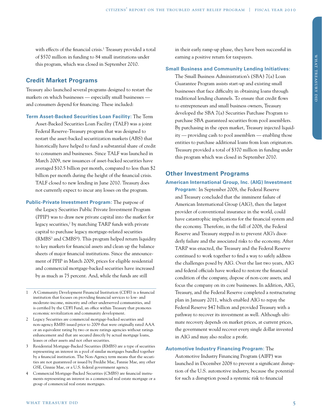with effects of the financial crisis.<sup>1</sup> Treasury provided a total of \$570 million in funding to 84 small institutions under this program, which was closed in September 2010.

#### **Credit Market Programs**

Treasury also launched several programs designed to restart the markets on which businesses — especially small businesses and consumers depend for financing. These included:

**Term Asset-Backed Securities Loan Facility:** The Term Asset-Backed Securities Loan Facility (TALF) was a joint Federal Reserve-Treasury program that was designed to restart the asset-backed securitization markets (ABS) that historically have helped to fund a substantial share of credit to consumers and businesses. Since TALF was launched in March 2009, new issuances of asset-backed securities have averaged \$10.5 billion per month, compared to less than \$2 billion per month during the height of the financial crisis. TALF closed to new lending in June 2010. Treasury does not currently expect to incur any losses on the program.

**Public-Private Investment Program:** The purpose of the Legacy Securities Public Private Investment Program (PPIP) was to draw new private capital into the market for legacy securities,<sup>2</sup> by matching TARP funds with private capital to purchase legacy mortgage-related securities (RMBS<sup>3</sup> and CMBS<sup>4</sup>). This program helped return liquidity to key markets for financial assets and clean up the balance sheets of major financial institutions. Since the announcement of PPIP in March 2009, prices for eligible residential and commercial mortgage-backed securities have increased by as much as 75 percent. And, while the funds are still

- 1 A Community Development Financial Institution (CDFI) is a financial institution that focuses on providing financial services to low- and moderate-income, minority and other underserved communities, and is certified by the CDFI Fund, an office within Treasury that promotes economic revitalization and community development.
- 2 Legacy Securities are commercial mortgage-backed securities and non-agency RMBS issued prior to 2009 that were originally rated AAA or an equivalent rating by two or more ratings agencies without ratings enhancement and that are secured directly by actual mortgage loans, leases or other assets and not other securities.
- 3 Residential Mortgage-Backed Securities (RMBS) are a type of securities representing an interest in a pool of similar mortgages bundled together by a financial institution. The Non-Agency term means that the securities are not guaranteed or issued by Freddie Mac, Fannie Mae, any other GSE, Ginnie Mae, or a U.S. federal government agency.
- 4 Commercial Mortgage-Backed Securities (CMBS) are financial instruments representing an interest in a commercial real estate mortgage or a group of commercial real estate mortgages.

in their early ramp-up phase, they have been successful in earning a positive return for taxpayers.

#### **Small Business and Community Lending Initiatives:**

The Small Business Administration's (SBA) 7(a) Loan Guarantee Program assists start-up and existing small businesses that face difficulty in obtaining loans through traditional lending channels. To ensure that credit flows to entrepreneurs and small business owners, Treasury developed the SBA 7(a) Securities Purchase Program to purchase SBA guaranteed securities from pool assemblers. By purchasing in the open market, Treasury injected liquidity — providing cash to pool assemblers — enabling those entities to purchase additional loans from loan originators. Treasury provided a total of \$370 million in funding under this program which was closed in September 2010.

#### **Other Investment Programs**

#### **American International Group, Inc. (AIG) Investment**

**Program:** In September 2008, the Federal Reserve and Treasury concluded that the imminent failure of American International Group (AIG), then the largest provider of conventional insurance in the world, could have catastrophic implications for the financial system and the economy. Therefore, in the fall of 2008, the Federal Reserve and Treasury stepped in to prevent AIG's disorderly failure and the associated risks to the economy. After TARP was enacted, the Treasury and the Federal Reserve continued to work together to find a way to safely address the challenges posed by AIG. Over the last two years, AIG and federal officials have worked to restore the financial condition of the company, dispose of non-core assets, and focus the company on its core businesses. In addition, AIG, Treasury, and the Federal Reserve completed a restructuring plan in January 2011, which enabled AIG to repay the Federal Reserve \$47 billion and provided Treasury with a pathway to recover its investment as well. Although ultimate recovery depends on market prices, at current prices, the government would recover every single dollar invested in AIG and may also realize a profit.

#### **Automotive Industry Financing Program:** The

Automotive Industry Financing Program (AIFP) was launched in December 2008 to prevent a significant disruption of the U.S. automotive industry, because the potential for such a disruption posed a systemic risk to financial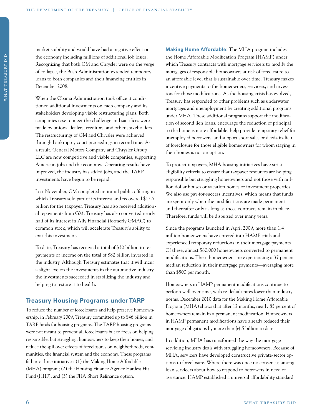market stability and would have had a negative effect on the economy including millions of additional job losses. Recognizing that both GM and Chrysler were on the verge of collapse, the Bush Administration extended temporary loans to both companies and their financing entities in December 2008.

When the Obama Administration took office it conditioned additional investments on each company and its stakeholders developing viable restructuring plans. Both companies rose to meet the challenge and sacrifices were made by unions, dealers, creditors, and other stakeholders. The restructurings of GM and Chrysler were achieved through bankruptcy court proceedings in record time. As a result, General Motors Company and Chrysler Group LLC are now competitive and viable companies, supporting American jobs and the economy. Operating results have improved, the industry has added jobs, and the TARP investments have begun to be repaid.

Last November, GM completed an initial public offering in which Treasury sold part of its interest and recovered \$13.5 billion for the taxpayer. Treasury has also received additional repayments from GM. Treasury has also converted nearly half of its interest in Ally Financial (formerly GMAC) to common stock, which will accelerate Treasury's ability to exit this investment.

To date, Treasury has received a total of \$30 billion in repayments or income on the total of \$82 billion invested in the industry. Although Treasury estimates that it will incur a slight loss on the investments in the automotive industry, the investments succeeded in stabilizing the industry and helping to restore it to health.

#### **Treasury Housing Programs under TARP**

To reduce the number of foreclosures and help preserve homeownership, in February 2009, Treasury committed up to \$46 billion in TARP funds for housing programs. The TARP housing programs were not meant to prevent all foreclosures but to focus on helping responsible, but struggling, homeowners to keep their homes, and reduce the spillover effects of foreclosures on neighborhoods, communities, the financial system and the economy. These programs fall into three initiatives: (1) the Making Home Affordable (MHA) program; (2) the Housing Finance Agency Hardest Hit Fund (HHF); and (3) the FHA Short Refinance option.

**Making Home Affordable:** The MHA program includes the Home Affordable Modification Program (HAMP) under which Treasury contracts with mortgage servicers to modify the mortgages of responsible homeowners at risk of foreclosure to an affordable level that is sustainable over time. Treasury makes incentive payments to the homeowners, servicers, and investors for those modifications. As the housing crisis has evolved, Treasury has responded to other problems such as underwater mortgages and unemployment by creating additional programs under MHA. These additional programs support the modification of second lien loans, encourage the reduction of principal so the home is more affordable, help provide temporary relief for unemployed borrowers, and support short sales or deeds-in-lieu of foreclosure for those eligible homeowners for whom staying in their homes is not an option.

To protect taxpayers, MHA housing initiatives have strict eligibility criteria to ensure that taxpayer resources are helping responsible but struggling homeowners and not those with million dollar houses or vacation homes or investment properties. We also use pay-for-success incentives, which means that funds are spent only when the modifications are made permanent and thereafter only as long as those contracts remain in place. Therefore, funds will be disbursed over many years.

Since the programs launched in April 2009, more than 1.4 million homeowners have entered into HAMP trials and experienced temporary reductions in their mortgage payments. Of these, almost 580,000 homeowners converted to permanent modifications. These homeowners are experiencing a 37 percent median reduction in their mortgage payments—averaging more than \$500 per month.

Homeowners in HAMP permanent modifications continue to perform well over time, with re-default rates lower than industry norms. December 2010 data for the Making Home Affordable Program (MHA) shows that after 12 months, nearly 85 percent of homeowners remain in a permanent modification. Homeowners in HAMP permanent modifications have already reduced their mortgage obligations by more than \$4.5 billion to date.

In addition, MHA has transformed the way the mortgage servicing industry deals with struggling homeowners. Because of MHA, servicers have developed constructive private-sector options to foreclosure. Where there was once no consensus among loan servicers about how to respond to borrowers in need of assistance, HAMP established a universal affordability standard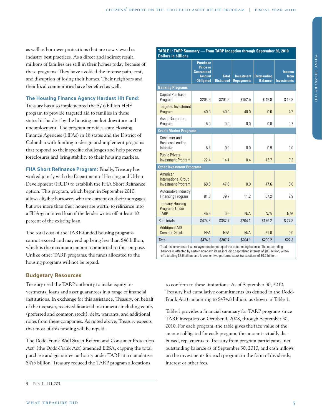as well as borrower protections that are now viewed as industry best practices. As a direct and indirect result, millions of families are still in their homes today because of these programs. They have avoided the intense pain, cost, and disruption of losing their homes. Their neighbors and their local communities have benefited as well.

#### **The Housing Finance Agency Hardest Hit Fund:**

Treasury has also implemented the \$7.6 billion HHF program to provide targeted aid to families in those states hit hardest by the housing market downturn and unemployment. The program provides state Housing Finance Agencies (HFAs) in 18 states and the District of Columbia with funding to design and implement programs that respond to their specific challenges and help prevent foreclosures and bring stability to their housing markets.

**FHA Short Refinance Program:** Finally, Treasury has worked jointly with the Department of Housing and Urban Development (HUD) to establish the FHA Short Refinance option. This program, which began in September 2010, allows eligible borrowers who are current on their mortgages but owe more than their homes are worth, to refinance into a FHA-guaranteed loan if the lender writes off at least 10 percent of the existing loan.

The total cost of the TARP-funded housing programs cannot exceed and may end up being less than \$46 billion, which is the maximum amount committed to that purpose. Unlike other TARP programs, the funds allocated to the housing programs will not be repaid.

#### **Budgetary Resources**

Treasury used the TARP authority to make equity investments, loans and asset guarantees in a range of financial institutions. In exchange for this assistance, Treasury, on behalf of the taxpayer, received financial instruments including equity (preferred and common stock), debt, warrants, and additional notes from these companies. As noted above, Treasury expects that most of this funding will be repaid.

The Dodd-Frank Wall Street Reform and Consumer Protection Act<sup>5</sup> (the Dodd-Frank Act) amended EESA, capping the total purchase and guarantee authority under TARP at a cumulative \$475 billion. Treasury reduced the TARP program allocations

| <b>Dollars in billions</b>                                                                             |                                                                                              |                                  |                                        |                                                  |                                             |
|--------------------------------------------------------------------------------------------------------|----------------------------------------------------------------------------------------------|----------------------------------|----------------------------------------|--------------------------------------------------|---------------------------------------------|
|                                                                                                        | <b>Purchase</b><br><b>Price or</b><br><b>Guaranteed</b><br><b>Amount</b><br><b>Obligated</b> | <b>Total</b><br><b>Disbursed</b> | <b>Investment</b><br><b>Repayments</b> | <b>Outstanding</b><br><b>Balance<sup>1</sup></b> | <b>Income</b><br>from<br><b>Investments</b> |
| <b>Banking Programs</b>                                                                                |                                                                                              |                                  |                                        |                                                  |                                             |
| Capital Purchase<br>Program                                                                            | \$204.9                                                                                      | \$204.9                          | \$152.5                                | \$49.8                                           | \$19.8                                      |
| <b>Targeted Investment</b><br>Program                                                                  | 40.0                                                                                         | 40.0                             | 40.0                                   | 0.0                                              | 4.2                                         |
| Asset Guarantee<br>Program                                                                             | 5.0                                                                                          | 0.0                              | 0.0                                    | 0.0                                              | 0.7                                         |
| <b>Credit Market Programs</b>                                                                          |                                                                                              |                                  |                                        |                                                  |                                             |
| Consumer and<br><b>Business Lending</b><br>Initiative                                                  | 5.3                                                                                          | 0.9                              | 0.0                                    | 0.9                                              | 0.0                                         |
| <b>Public Private</b><br><b>Investment Program</b>                                                     | 22.4                                                                                         | 14.1                             | 0.4                                    | 13.7                                             | 0.2                                         |
| <b>Other Investment Programs</b>                                                                       |                                                                                              |                                  |                                        |                                                  |                                             |
| American<br><b>International Group</b><br><b>Investment Program</b>                                    | 69.8                                                                                         | 47.6                             | 0.0                                    | 47.6                                             | 0.0                                         |
| Automotive Industry<br><b>Financing Program</b>                                                        | 81.8                                                                                         | 79.7                             | 11.2                                   | 67.2                                             | 2.9                                         |
| <b>Treasury Housing</b><br><b>Programs Under</b><br><b>TARP</b>                                        | 45.6                                                                                         | 0.5                              | N/A                                    | N/A                                              | N/A                                         |
| Sub-Totals                                                                                             | \$474.8                                                                                      | \$387.7                          | \$204.1                                | \$179.2                                          | \$27.8                                      |
| <b>Additional AIG</b><br><b>Common Stock</b>                                                           | N/A                                                                                          | N/A                              | N/A                                    | 21.0                                             | 0.0                                         |
| Total                                                                                                  | \$474.8                                                                                      | \$387.7                          | \$204.1                                | \$200.2                                          | \$27.8                                      |
| <sup>1</sup> Total disbursements less repayments do not equal the outstanding balance. The outstanding |                                                                                              |                                  |                                        |                                                  |                                             |

**Table 1: TARP Summary — From TARP Inception through September 30, 2010**

balance is affected by certain non-cash items including capitalized interest of \$0.3 billion, writeoffs totaling \$3.9 billion, and losses on two preferred stock transactions of \$0.2 billion.

to conform to these limitations. As of September 30, 2010, Treasury had cumulative commitments (as defined in the Dodd-Frank Act) amounting to \$474.8 billion, as shown in Table 1.

Table 1 provides a financial summary for TARP programs since TARP inception on October 3, 2008, through September 30, 2010. For each program, the table gives the face value of the amount obligated for each program, the amount actually disbursed, repayments to Treasury from program participants, net outstanding balance as of September 30, 2010, and cash inflows on the investments for each program in the form of dividends, interest or other fees.

<sup>5</sup> Pub. L. 111-203.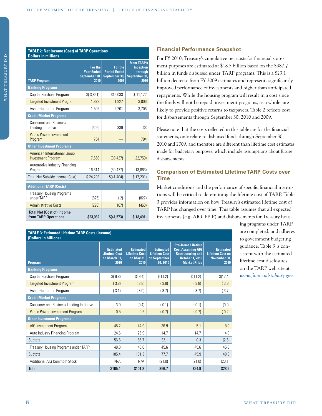| ŀ<br>í<br>í |  |
|-------------|--|
| ï<br>I      |  |
| ŀ<br>I<br>ı |  |
| ī<br>I      |  |
|             |  |

| <b>TABLE 2: Net Income (Cost) of TARP Operations</b><br><b>Dollars in millions</b> |                                                       |                                                         |                                                                            |  |  |
|------------------------------------------------------------------------------------|-------------------------------------------------------|---------------------------------------------------------|----------------------------------------------------------------------------|--|--|
| <b>TARP Program</b>                                                                | For the<br><b>Year Ended</b><br>September 30,<br>2010 | For the<br><b>Period Ended</b><br>September 30,<br>2009 | <b>From TARP's</b><br><b>Inception</b><br>through<br>September 30,<br>2010 |  |  |
| <b>Banking Programs</b>                                                            |                                                       |                                                         |                                                                            |  |  |
| Capital Purchase Program                                                           | $$$ $(3,861)$                                         | \$15,033                                                | \$11,172                                                                   |  |  |
| <b>Targeted Investment Program</b>                                                 | 1,879                                                 | 1,927                                                   | 3,806                                                                      |  |  |
| Asset Guarantee Program                                                            | 1,505                                                 | 2,201                                                   | 3,706                                                                      |  |  |
| <b>Credit Market Programs</b>                                                      |                                                       |                                                         |                                                                            |  |  |
| <b>Consumer and Business</b><br>Lending Initiative                                 | (306)                                                 | 339                                                     | 33                                                                         |  |  |
| <b>Public Private Investment</b><br>Program                                        | 704                                                   |                                                         | 704                                                                        |  |  |
| <b>Other Investment Programs</b>                                                   |                                                       |                                                         |                                                                            |  |  |
| <b>American International Group</b><br><b>Investment Program</b>                   | 7.668                                                 | (30, 427)                                               | (22, 759)                                                                  |  |  |
| Automotive Industry Financing<br>Program                                           | 16,614                                                | (30, 477)                                               | (13, 863)                                                                  |  |  |
| Total Net Subsidy Income (Cost)                                                    | \$24,203                                              | \$(41, 404)                                             | \$(17, 201)                                                                |  |  |
| <b>Additional TARP (Costs)</b>                                                     |                                                       |                                                         |                                                                            |  |  |
| <b>Treasury Housing Programs</b><br>under TARP                                     | (825)                                                 | (2)                                                     | (827)                                                                      |  |  |
| <b>Administrative Costs</b>                                                        | (296)                                                 | (167)                                                   | (463)                                                                      |  |  |
| <b>Total Net (Cost of) Income</b><br>from TARP Operations                          | \$23,082                                              | \$(41, 573)                                             | \$(18, 491)                                                                |  |  |

#### **Financial Performance Snapshot**

For FY 2010, Treasury's cumulative net costs for financial statement purposes are estimated at \$18.5 billion based on the \$387.7 billion in funds disbursed under TARP programs. This is a \$23.1 billion decrease from FY 2009 estimates and represents significantly improved performance of investments and higher than anticipated repayments. While the housing program will result in a cost since the funds will not be repaid, investment programs, as a whole, are likely to provide positive returns to taxpayers. Table 2 reflects cost for disbursements through September 30, 2010 and 2009.

Please note that the costs reflected in this table are for the financial statements, only relate to disbursed funds through September 30, 2010 and 2009, and therefore are different than lifetime cost estimates made for budgetary purposes, which include assumptions about future disbursements.

#### **Comparison of Estimated Lifetime TARP Costs over Time**

Market conditions and the performance of specific financial institutions will be critical to determining the lifetime cost of TARP. Table 3 provides information on how Treasury's estimated lifetime cost of TARP has changed over time. This table assumes that all expected investments (e.g. AIG, PPIP) and disbursements for Treasury hous-

| <b>TABLE 3: Estimated Lifetime TARP Costs (Income)</b><br>(Dollars in billions) |                                                                  |                                                                |                                                                      |                                                                                                                                    |                                                                     |  |
|---------------------------------------------------------------------------------|------------------------------------------------------------------|----------------------------------------------------------------|----------------------------------------------------------------------|------------------------------------------------------------------------------------------------------------------------------------|---------------------------------------------------------------------|--|
| <b>Program</b>                                                                  | <b>Estimated</b><br><b>Lifetime Cost</b><br>on March 31.<br>2010 | <b>Estimated</b><br><b>Lifetime Cost</b><br>on May 31,<br>2010 | <b>Estimated</b><br><b>Lifetime Cost</b><br>on September<br>30, 2010 | <b>Pro-forma Lifetime</b><br><b>Cost Assuming AIG</b><br><b>Restructuring and</b><br><b>October 1, 2010</b><br><b>Market Price</b> | <b>Estimated</b><br><b>Lifetime Cost on</b><br>November 30.<br>2010 |  |
| <b>Banking Programs</b>                                                         |                                                                  |                                                                |                                                                      |                                                                                                                                    |                                                                     |  |
| Capital Purchase Program                                                        | (9.8)                                                            | (9.4)                                                          | \$(11.2)                                                             | \$(11.2)                                                                                                                           | \$(12.4)                                                            |  |
| <b>Targeted Investment Program</b>                                              | (3.8)                                                            | (3.8)                                                          | (3.8)                                                                | (3.8)                                                                                                                              | (3.8)                                                               |  |
| Asset Guarantee Program                                                         | (3.1)                                                            | (3.0)                                                          | (3.7)                                                                | (3.7)                                                                                                                              | (3.7)                                                               |  |
| <b>Credit Market Programs</b>                                                   |                                                                  |                                                                |                                                                      |                                                                                                                                    |                                                                     |  |
| Consumer and Business Lending Initiative                                        | 3.0                                                              | (0.4)                                                          | (0.1)                                                                | (0.1)                                                                                                                              | (0.0)                                                               |  |
| <b>Public Private Investment Program</b>                                        | 0.5                                                              | 0.5                                                            | (0.7)                                                                | (0.7)                                                                                                                              | (0.2)                                                               |  |
| <b>Other Investment Programs</b>                                                |                                                                  |                                                                |                                                                      |                                                                                                                                    |                                                                     |  |
| AIG Investment Program                                                          | 45.2                                                             | 44.9                                                           | 36.9                                                                 | 5.1                                                                                                                                | 8.0                                                                 |  |
| Auto Industry Financing Program                                                 | 24.6                                                             | 26.9                                                           | 14.7                                                                 | 14.7                                                                                                                               | 14.8                                                                |  |
| Subtotal                                                                        | 56.6                                                             | 55.7                                                           | 32.1                                                                 | 0.3                                                                                                                                | (2.6)                                                               |  |
| Treasury Housing Programs under TARP                                            | 48.8                                                             | 45.6                                                           | 45.6                                                                 | 45.6                                                                                                                               | 45.6                                                                |  |
| Subtotal                                                                        | 105.4                                                            | 101.3                                                          | 77.7                                                                 | 45.9                                                                                                                               | 48.3                                                                |  |
| Additional AIG Commom Stock                                                     | N/A                                                              | N/A                                                            | (21.0)                                                               | (21.0)                                                                                                                             | (20.1)                                                              |  |
| Total                                                                           | \$105.4                                                          | \$101.3                                                        | \$56.7                                                               | \$24.9                                                                                                                             | \$28.2                                                              |  |

ing programs under TARP are completed, and adheres to government budgeting guidance. Table 3 is consistent with the estimated lifetime cost disclosures on the TARP web site at *www.financialstability.gov*.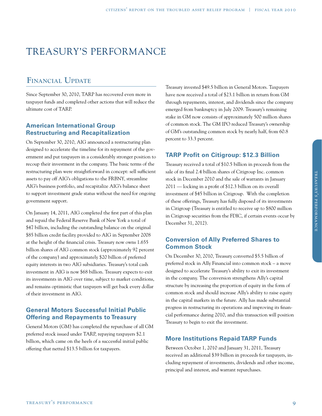## TREASURY'S PERFORMANCE

### **Financial Update**

Since September 30, 2010, TARP has recovered even more in taxpayer funds and completed other actions that will reduce the ultimate cost of TARP.

#### **American International Group Restructuring and Recapitalization**

On September 30, 2010, AIG announced a restructuring plan designed to accelerate the timeline for its repayment of the government and put taxpayers in a considerably stronger position to recoup their investment in the company. The basic terms of the restructuring plan were straightforward in concept: sell sufficient assets to pay off AIG's obligations to the FRBNY, streamline AIG's business portfolio, and recapitalize AIG's balance sheet to support investment grade status without the need for ongoing government support.

On January 14, 2011, AIG completed the first part of this plan and repaid the Federal Reserve Bank of New York a total of \$47 billion, including the outstanding balance on the original \$85 billion credit facility provided to AIG in September 2008 at the height of the financial crisis. Treasury now owns 1.655 billion shares of AIG common stock (approximately 92 percent of the company) and approximately \$20 billion of preferred equity interests in two AIG subsidiaries. Treasury's total cash investment in AIG is now \$68 billion. Treasury expects to exit its investments in AIG over time, subject to market conditions, and remains optimistic that taxpayers will get back every dollar of their investment in AIG.

#### **General Motors Successful Initial Public Offering and Repayments to Treasury**

General Motors (GM) has completed the repurchase of all GM preferred stock issued under TARP, repaying taxpayers \$2.1 billion, which came on the heels of a successful initial public offering that netted \$13.5 billion for taxpayers.

Treasury invested \$49.5 billion in General Motors. Taxpayers have now received a total of \$23.1 billion in return from GM through repayments, interest, and dividends since the company emerged from bankruptcy in July 2009. Treasury's remaining stake in GM now consists of approximately 500 million shares of common stock. The GM IPO reduced Treasury's ownership of GM's outstanding common stock by nearly half, from 60.8 percent to 33.3 percent.

#### **TARP Profit on Citigroup: \$12.3 Billion**

Treasury received a total of \$10.5 billion in proceeds from the sale of its final 2.4 billion shares of Citigroup Inc. common stock in December 2010 and the sale of warrants in January 2011 — locking in a profit of \$12.3 billion on its overall investment of \$45 billion in Citigroup. With the completion of these offerings, Treasury has fully disposed of its investments in Citigroup (Treasury is entitled to receive up to \$800 million in Citigroup securities from the FDIC, if certain events occur by December 31, 2012).

#### **Conversion of Ally Preferred Shares to Common Stock**

On December 30, 2010, Treasury converted \$5.5 billion of preferred stock in Ally Financial into common stock – a move designed to accelerate Treasury's ability to exit its investment in the company. The conversion strengthens Ally's capital structure by increasing the proportion of equity in the form of common stock and should increase Ally's ability to raise equity in the capital markets in the future. Ally has made substantial progress in restructuring its operations and improving its financial performance during 2010, and this transaction will position Treasury to begin to exit the investment.

#### **More Institutions Repaid TARP Funds**

Between October 1, 2010 and January 31, 2011, Treasury received an additional \$39 billion in proceeds for taxpayers, including repayment of investments, dividends and other income, principal and interest, and warrant repurchases.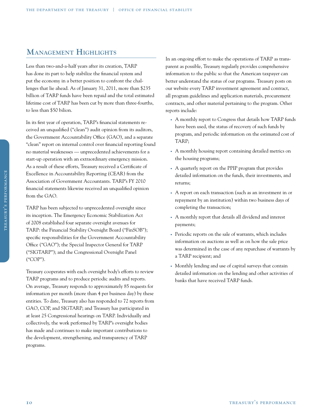### **Management Highlights**

Less than two-and-a-half years after its creation, TARP has done its part to help stabilize the financial system and put the economy in a better position to confront the challenges that lie ahead. As of January 31, 2011, more than \$235 billion of TARP funds have been repaid and the total estimated lifetime cost of TARP has been cut by more than three-fourths, to less than \$50 bilion.

In its first year of operation, TARP's financial statements received an unqualified ("clean") audit opinion from its auditors, the Government Accountability Office (GAO), and a separate "clean" report on internal control over financial reporting found no material weaknesses — unprecedented achievements for a start-up operation with an extraordinary emergency mission. As a result of these efforts, Treasury received a Certificate of Excellence in Accountability Reporting (CEAR) from the Association of Government Accountants. TARP's FY 2010 financial statements likewise received an unqualified opinion from the GAO.

TARP has been subjected to unprecedented oversight since its inception. The Emergency Economic Stabilization Act of 2008 established four separate oversight avenues for TARP: the Financial Stability Oversight Board ("FinSOB"); specific responsibilities for the Government Accountability Office ("GAO"); the Special Inspector General for TARP ("SIGTARP"); and the Congressional Oversight Panel ("COP").

Treasury cooperates with each oversight body's efforts to review TARP programs and to produce periodic audits and reports. On average, Treasury responds to approximately 85 requests for information per month (more than 4 per business day) by these entities. To date, Treasury also has responded to 72 reports from GAO, COP, and SIGTARP; and Treasury has participated in at least 25 Congressional hearings on TARP. Individually and collectively, the work performed by TARP's oversight bodies has made and continues to make important contributions to the development, strengthening, and transparency of TARP programs.

In an ongoing effort to make the operations of TARP as transparent as possible, Treasury regularly provides comprehensive information to the public so that the American taxpayer can better understand the status of our programs. Treasury posts on our website every TARP investment agreement and contract, all program guidelines and application materials, procurement contracts, and other material pertaining to the program. Other reports include:

- A monthly report to Congress that details how TARP funds have been used, the status of recovery of such funds by program, and periodic information on the estimated cost of TARP;
- A monthly housing report containing detailed metrics on the housing programs;
- A quarterly report on the PPIP program that provides detailed information on the funds, their investments, and returns;
- • A report on each transaction (such as an investment in or repayment by an institution) within two business days of completing the transaction;
- • A monthly report that details all dividend and interest payments;
- • Periodic reports on the sale of warrants, which includes information on auctions as well as on how the sale price was determined in the case of any repurchase of warrants by a TARP recipient; and
- • Monthly lending and use of capital surveys that contain detailed information on the lending and other activities of banks that have received TARP funds.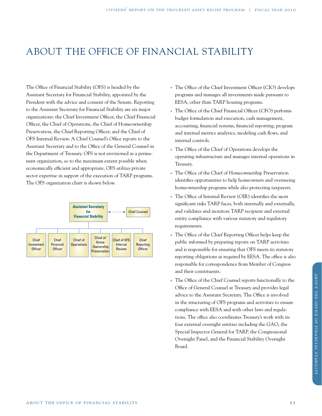## ABOUT THE OFFICE OF FINANCIAL STABILITY

The Office of Financial Stability (OFS) is headed by the Assistant Secretary for Financial Stability, appointed by the President with the advice and consent of the Senate. Reporting to the Assistant Secretary for Financial Stability are six major organizations: the Chief Investment Officer, the Chief Financial Officer, the Chief of Operations, the Chief of Homeownership Preservation, the Chief Reporting Officer, and the Chief of OFS Internal Review. A Chief Counsel's Office reports to the Assistant Secretary and to the Office of the General Counsel in the Department of Treasury. OFS is not envisioned as a permanent organization, so to the maximum extent possible when economically efficient and appropriate, OFS utilizes private sector expertise in support of the execution of TARP programs. The OFS organization chart is shown below.



- The Office of the Chief Investment Officer (CIO) develops programs and manages all investments made pursuant to EESA, other than TARP housing programs.
- The Office of the Chief Financial Officer (CFO) performs budget formulation and execution, cash management, accounting, financial systems, financial reporting, program and internal metrics analytics, modeling cash flows, and internal controls.
- • The Office of the Chief of Operations develops the operating infrastructure and manages internal operations in Treasury.
- • The Office of the Chief of Homeownership Preservation identifies opportunities to help homeowners and overseeing homeownership programs while also protecting taxpayers.
- The Office of Internal Review (OIR) identifies the most significant risks TARP faces, both internally and externally, and validates and monitors TARP recipient and external entity compliance with various statutory and regulatory requirements.
- The Office of the Chief Reporting Officer helps keep the public informed by preparing reports on TARP activities and is responsible for ensuring that OFS meets its statutory reporting obligations as required by EESA. The office is also responsible for correspondence from Member of Congress and their constituents.
- The Office of the Chief Counsel reports functionally to the Office of General Counsel at Treasury and provides legal advice to the Assistant Secretary. The Office is involved in the structuring of OFS programs and activities to ensure compliance with EESA and with other laws and regulations. The office also coordinates Treasury's work with its four external oversight entities including the GAO, the Special Inspector General for TARP, the Congressional Oversight Panel, and the Financial Stability Oversight Board.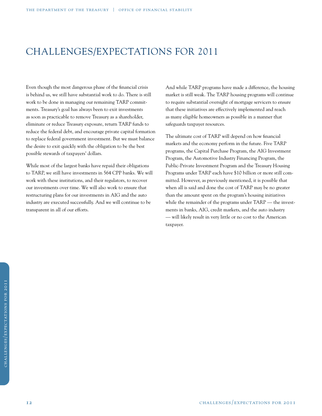## CHALLENGES/EXPECTATIONS FOR 2011

Even though the most dangerous phase of the financial crisis is behind us, we still have substantial work to do. There is still work to be done in managing our remaining TARP commitments. Treasury's goal has always been to exit investments as soon as practicable to remove Treasury as a shareholder, eliminate or reduce Treasury exposure, return TARP funds to reduce the federal debt, and encourage private capital formation to replace federal government investment. But we must balance the desire to exit quickly with the obligation to be the best possible stewards of taxpayers' dollars.

While most of the largest banks have repaid their obligations to TARP, we still have investments in 564 CPP banks. We will work with these institutions, and their regulators, to recover our investments over time. We will also work to ensure that restructuring plans for our investments in AIG and the auto industry are executed successfully. And we will continue to be transparent in all of our efforts.

And while TARP programs have made a difference, the housing market is still weak. The TARP housing programs will continue to require substantial oversight of mortgage servicers to ensure that these initiatives are effectively implemented and reach as many eligible homeowners as possible in a manner that safeguards taxpayer resources.

The ultimate cost of TARP will depend on how financial markets and the economy perform in the future. Five TARP programs, the Capital Purchase Program, the AIG Investment Program, the Automotive Industry Financing Program, the Public-Private Investment Program and the Treasury Housing Programs under TARP each have \$10 billion or more still committed. However, as previously mentioned, it is possible that when all is said and done the cost of TARP may be no greater than the amount spent on the program's housing initiatives while the remainder of the programs under TARP — the investments in banks, AIG, credit markets, and the auto industry — will likely result in very little or no cost to the American taxpayer.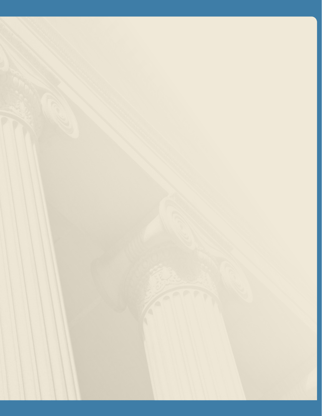